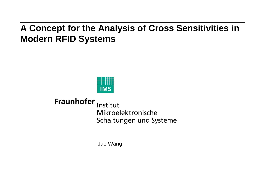## **A Concept for the Analysis of Cross Sensitivities in Modern RFID Systems**



**Fraunhofer** Institut Mikroelektronische Schaltungen und Systeme

Jue Wang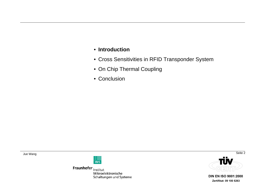## • **Introduction**

- Cross Sensitivities in RFID Transponder System
- On Chip Thermal Coupling
- Conclusion



Fraunhofer Institut Mikroelektronische Schaltungen und Systeme

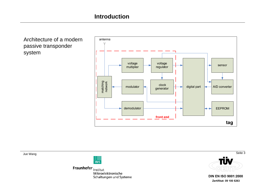Architecture of a modern passive transponder system



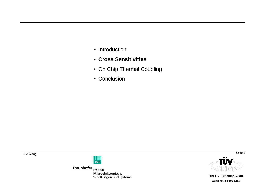- Introduction
- **Cross Sensitivities**
- On Chip Thermal Coupling
- Conclusion



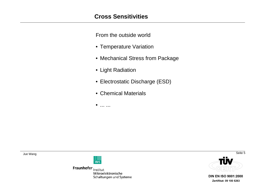From the outside world

- Temperature Variation
- Mechanical Stress from Package
- Light Radiation
- Electrostatic Discharge (ESD)
- Chemical Materials
- ... ...



Fraunhofer Institut Mikroelektronische Schaltungen und Systeme

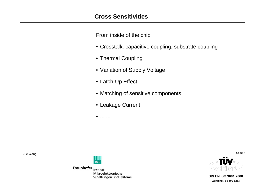From inside of the chip

- Crosstalk: capacitive coupling, substrate coupling
- Thermal Coupling
- Variation of Supply Voltage
- Latch-Up Effect
- Matching of sensitive components
- Leakage Current
- $\bullet$ ... ...



Fraunhofer Institut Mikroelektronische Schaltungen und Systeme



Seite<sub>6</sub>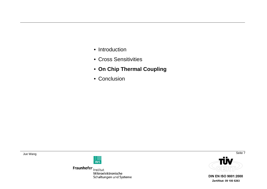- Introduction
- Cross Sensitivities
- **On Chip Thermal Coupling**
- Conclusion



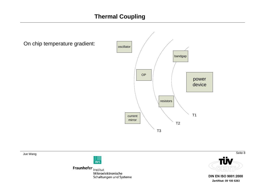power device T1 T2 T3 bandgap current mirror OP resistors oscillatorOn chip temperature gradient:

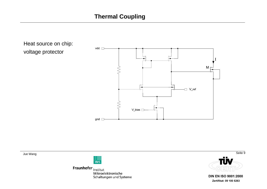



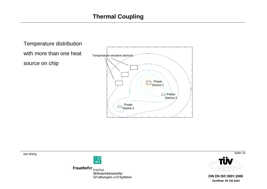



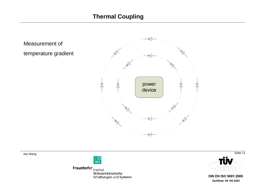## **Thermal Coupling**

Measurement of temperature gradient





Fraunhofer Institut Mikroelektronische Schaltungen und Systeme

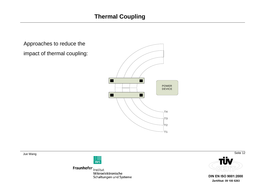Approaches to reduce the impact of thermal coupling:





Fraunhofer Institut Mikroelektronische Schaltungen und Systeme



**DIN EN ISO 9001:2000** Zertifikat: 09 100 5263

Seite 12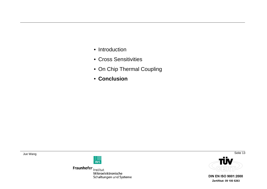- Introduction
- Cross Sensitivities
- On Chip Thermal Coupling
- **Conclusion**



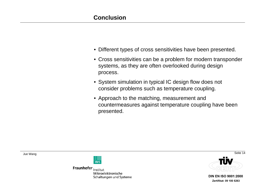- Different types of cross sensitivities have been presented.
- Cross sensitivities can be a problem for modern transponder systems, as they are often overlooked during design process.
- System simulation in typical IC design flow does not consider problems such as temperature coupling.
- Approach to the matching, measurement and countermeasures against temperature coupling have been presented.